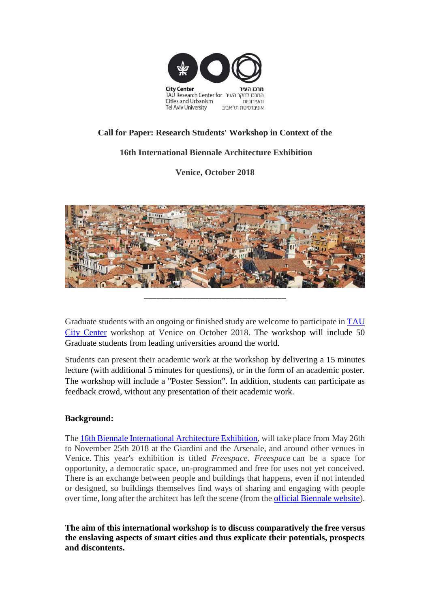

# **Call for Paper: Research Students' Workshop in Context of the**

## **16th International Biennale Architecture Exhibition**

**Venice, October 2018**



Graduate students with an ongoing or finished study are welcome to participate in [TAU](https://en-urban.tau.ac.il/about)  [City Center](https://en-urban.tau.ac.il/about) workshop at Venice on October 2018. The workshop will include 50 Graduate students from leading universities around the world.

Students can present their academic work at the workshop by delivering a 15 minutes lecture (with additional 5 minutes for questions), or in the form of an academic poster. The workshop will include a "Poster Session". In addition, students can participate as feedback crowd, without any presentation of their academic work.

## **Background:**

The [16th Biennale International Architecture Exhibition,](http://www.labiennale.org/en/architecture/2018/16th-international-architecture-exhibition-0) will take place from May 26th to November 25th 2018 at the Giardini and the Arsenale, and around other venues in Venice. This year's exhibition is titled *Freespace*. *Freespace* can be a space for opportunity, a democratic space, un-programmed and free for uses not yet conceived. There is an exchange between people and buildings that happens, even if not intended or designed, so buildings themselves find ways of sharing and engaging with people over time, long after the architect has left the scene (from the [official Biennale website\)](http://www.labiennale.org/en/news/biennale-architettura-2018-general-outline).

**The aim of this international workshop is to discuss comparatively the free versus the enslaving aspects of smart cities and thus explicate their potentials, prospects and discontents.**